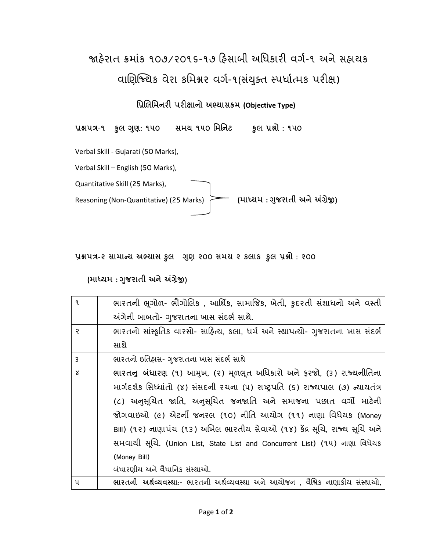# જાહેરાત ક્રમાંક ૧૦૭/૨૦૧૬-૧૭ હિસાબી અધિકારી વર્ગ-૧ અને સહાયક વાણિજ્યિક વેરા કમિશ્નર વર્ગ-૧(સંયુક્ત સ્પર્ધાત્મક પરીક્ષ)

**પ્રિલપ્રમનરી રીક્ષાનો અભ્યાસક્રમ (Objective Type)**

**િશ્નત્ર-૧ કુ ગણુ : ૧૫૦ સમય ૧૫૦ પ્રમપ્રનટ કુ િશ્નો : ૧૫૦** 

Verbal Skill - Gujarati (50 Marks),

Verbal Skill – English (50 Marks),

Quantitative Skill (25 Marks), Reasoning (Non-Quantitative) (25 Marks) **(માધ્યમ : ગજુ રાતી અનેઅંગ્રેજી)**

**િશ્નત્ર-૨ સામાન્ય અભ્યાસ કુ ગણુ ૨૦૦ સમય ૨ કાક કુ િશ્નો : ૨૦૦** 

#### **(માધ્યમ : ગજુ રાતી અનેઅંગ્રેજી)**

| $\frac{1}{\mathbf{q}}$ | ભારતની ભૂગોળ- ભૌગોલિક , આર્થિક, સામાજિક, ખેતી, કુદરતી સંશાધનો અને વસ્તી         |
|------------------------|---------------------------------------------------------------------------------|
|                        | અંગેની બાબતો- ગુજરાતના ખાસ સંદર્ભ સાથે.                                         |
| ę                      | ભારતનો સાંસ્કૃતિક વારસો- સાહિત્ય, કલા, ધર્મ અને સ્થાપત્યો- ગુજરાતના ખાસ સંદર્ભ  |
|                        | સાથે                                                                            |
| 3                      | ભારતનો ઇતિહ્વસ- ગુજરાતના ખાસ સંદર્ભ સાથે                                        |
| $\times$               | ભારતનુ બંધારણ (૧) આમુખ, (૨) મૂળભૂત અધિકારો અને ફરજો, (૩) રાજ્યનીતિના            |
|                        | માર્ગદર્શક સિધ્ધાંતો (૪) સંસદની રચના (૫) રાષ્ટ્રપતિ (૬) રાજ્યપાલ (૭) ન્યાયતંત્ર |
|                        | (૮) અનુસૂચિત જાતિ, અનુસૂચિત જનજાતિ અને સમાજના પછાત વર્ગો માટેની                 |
|                        | જોગવાઇઓ (૯) એટર્ની જનરલ (૧૦) નીતિ આયોગ (૧૧) નાણા વિધેયક (Money                  |
|                        | Bill) (૧૨) નાણાપંચ (૧૩) અખિલ ભારતીય સેવાઓ (૧૪) કેંદ્ર સૂચિ, રાજ્ય સૂચિ અને      |
|                        | સમવાથી સૂચિ. (Union List, State List and Concurrent List) (૧૫) નાણા વિધેયક      |
|                        | (Money Bill)                                                                    |
|                        | બંધારણીય અને વૈધાનિક સંસ્થાઓ.                                                   |
| પ                      | ભારતની અર્થવ્યવસ્થા:- ભારતની અર્થવ્યવસ્થા અને આયોજન , વૈશ્વિક નાણાકીય સંસ્થાઓ,  |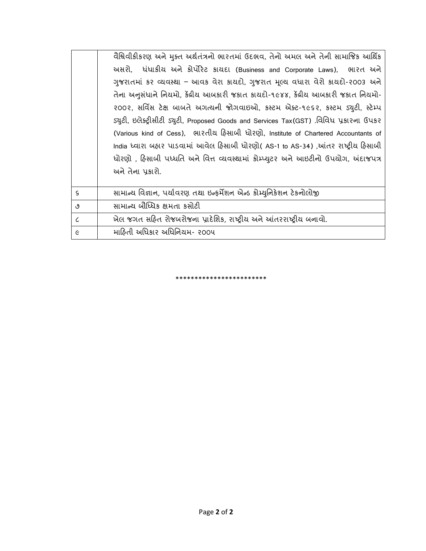|                             | વૈશ્વિવીકીકરણ અને મુક્ત અર્થતંત્રનો ભારતમાં ઉદભવ, તેનો અમલ અને તેની સામાજિક આર્થિક      |
|-----------------------------|-----------------------------------------------------------------------------------------|
|                             | અસરો, ધંધાકીય અને કોર્પોરેટ કાયદા (Business and Corporate Laws), ભારત અને               |
|                             | ગુજરાતમાં કર વ્યવસ્થા – આવક વેરા કાયદો, ગુજરાત મૂલ્ય વધારા વેરો કાયદો-૨૦૦૩ અને          |
|                             | તેના અનુસંધાને નિયમો, કેંદ્રીય આબકારી જકાત કાયદો-૧૯૪૪, કેંદ્રીય આબકારી જકાત નિયમો-      |
|                             | ૨૦૦૨, સર્વિસ ટેક્ષ બાબતે અગત્યની જોગવાઇઓ, કસ્ટમ એક્ટ-૧૯૬૨, કસ્ટમ ડ્યુટી, સ્ટેમ્પ        |
|                             | ડ્યુટી, ઇલેક્ટ્રીસીટી ડ્યુટી, Proposed Goods and Services Tax(GST) .વિવિધ પ્રકારના ઉપકર |
|                             | (Various kind of Cess), ભારતીય હિસાબી ધોરણો, Institute of Chartered Accountants of      |
|                             | India ધ્વારા બહાર પાડવામાં આવેલ હિસાબી ધોરણો( AS-1 to AS-34) ,આંતર રાષ્ટ્રીય હિસાબી     |
|                             | ધોરણો , હિસાબી પધ્ધતિ અને વિત્ત વ્યવસ્થામાં કોમ્પ્યુટર અને આઇટીનો ઉપયોગ, અંદાજપત્ર      |
|                             | અને તેના પ્રકારો.                                                                       |
|                             |                                                                                         |
| $\mathsf{S}$                | સામાન્ય વિજ્ઞાન, પર્યાવરણ તથા ઇન્ફર્મેશન એન્ડ કોમ્યુનિકેશન ટેકનોલોજી                    |
| ৩                           | સામાન્ય બૌધ્ધિક ક્ષમતા કસોટી                                                            |
| $\mathcal{L}_{\mathcal{L}}$ | ખેલ જગત સહિત રોજબરોજના પ્રાદેશિક, રાષ્ટ્રીય અને આંતરરાષ્ટ્રીય બનાવો.                    |
| Ć                           | માહિતી અધિકાર અધિનિયમ- ૨૦૦૫                                                             |

\*\*\*\*\*\*\*\*\*\*\*\*\*\*\*\*\*\*\*\*\*\*\*\*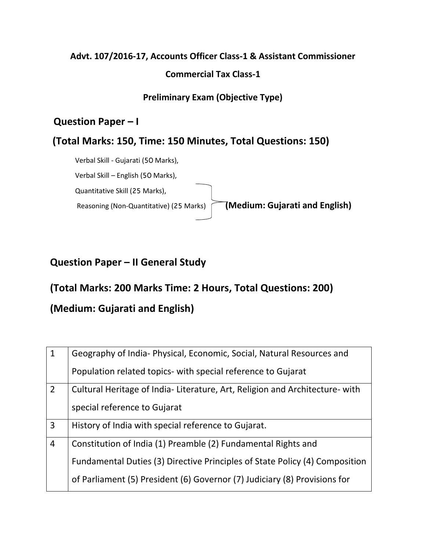## **Advt. 107/2016-17, Accounts Officer Class-1 & Assistant Commissioner Commercial Tax Class-1**

**Preliminary Exam (Objective Type)**

#### **Question Paper – I**

#### **(Total Marks: 150, Time: 150 Minutes, Total Questions: 150)**

Verbal Skill - Gujarati (50 Marks), Verbal Skill – English (50 Marks), Quantitative Skill (25 Marks), Reasoning (Non-Quantitative) (25 Marks) **(Medium: Gujarati and English)** 

### **Question Paper – II General Study**

### **(Total Marks: 200 Marks Time: 2 Hours, Total Questions: 200)**

### **(Medium: Gujarati and English)**

| $\overline{1}$ | Geography of India- Physical, Economic, Social, Natural Resources and       |
|----------------|-----------------------------------------------------------------------------|
|                | Population related topics- with special reference to Gujarat                |
| $\overline{2}$ | Cultural Heritage of India-Literature, Art, Religion and Architecture- with |
|                | special reference to Gujarat                                                |
| $\overline{3}$ | History of India with special reference to Gujarat.                         |
| $\overline{4}$ | Constitution of India (1) Preamble (2) Fundamental Rights and               |
|                | Fundamental Duties (3) Directive Principles of State Policy (4) Composition |
|                | of Parliament (5) President (6) Governor (7) Judiciary (8) Provisions for   |